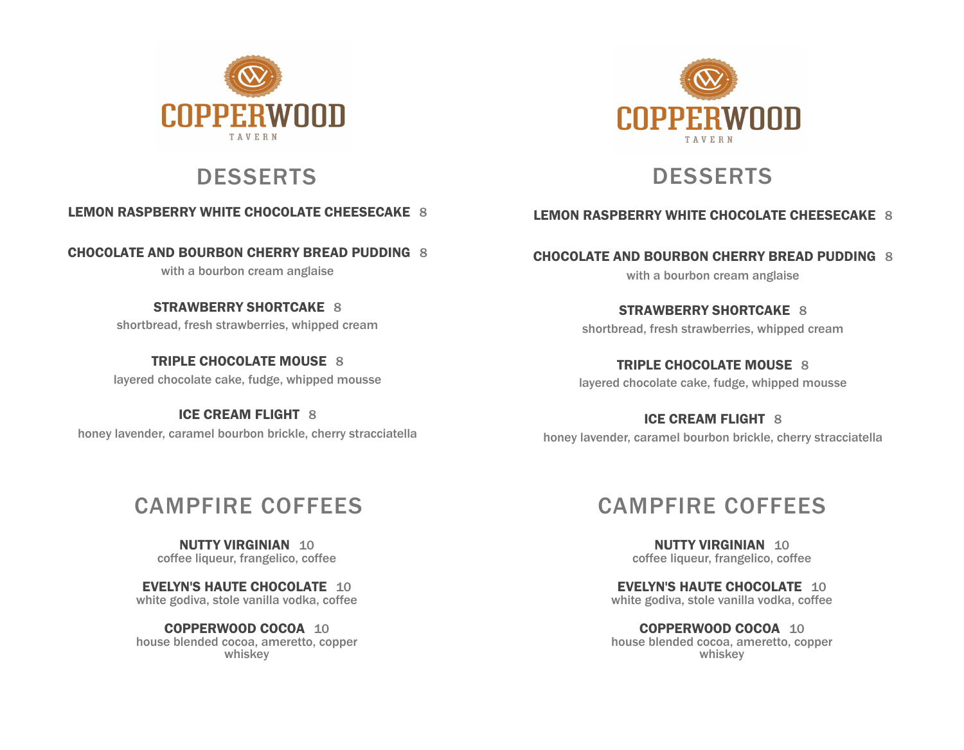



# DESSERTS DESSERTS

### **LEMON RASPBERRY WHITE CHOCOLATE CHEESECAKE** 8

**CHOCOLATE AND BOURBON CHERRY BREAD PUDDING** 8

with a bourbon cream anglaise

**STRAWBERRY SHORTCAKE** 8 shortbread, fresh strawberries, whipped cream

**TRIPLE CHOCOLATE MOUSE** 8 layered chocolate cake, fudge, whipped mousse

**ICE CREAM FLIGHT** 8 honey lavender, caramel bourbon brickle, cherry stracciatella

# CAMPFIRE COFFEES

**NUTTY VIRGINIAN** 10 coffee liqueur, frangelico, coffee

**EVELYN'S HAUTE CHOCOLATE** 10 white godiva, stole vanilla vodka, coffee

**COPPERWOOD COCOA** 10 house blended cocoa, ameretto, copper whiskey

# CAMPFIRE COFFEES

**NUTTY VIRGINIAN** 10 coffee liqueur, frangelico, coffee

**EVELYN'S HAUTE CHOCOLATE** 10 white godiva, stole vanilla vodka, coffee

**COPPERWOOD COCOA** 10 house blended cocoa, ameretto, copper whiskey

**LEMON RASPBERRY WHITE CHOCOLATE CHEESECAKE** 8

**CHOCOLATE AND BOURBON CHERRY BREAD PUDDING** 8 with a bourbon cream anglaise

> **STRAWBERRY SHORTCAKE** 8 shortbread, fresh strawberries, whipped cream

**TRIPLE CHOCOLATE MOUSE** 8 layered chocolate cake, fudge, whipped mousse

**ICE CREAM FLIGHT** 8 honey lavender, caramel bourbon brickle, cherry stracciatella